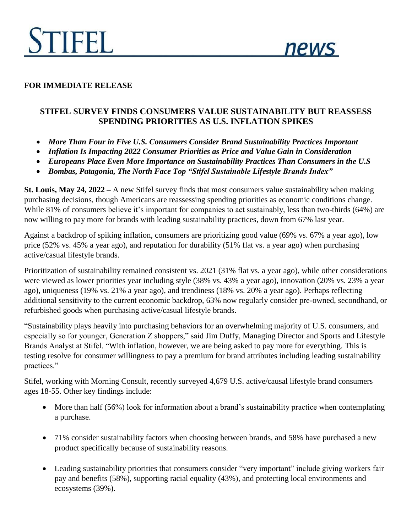

#### **FOR IMMEDIATE RELEASE**

# **STIFEL SURVEY FINDS CONSUMERS VALUE SUSTAINABILITY BUT REASSESS SPENDING PRIORITIES AS U.S. INFLATION SPIKES**

- *More Than Four in Five U.S. Consumers Consider Brand Sustainability Practices Important*
- *Inflation Is Impacting 2022 Consumer Priorities as Price and Value Gain in Consideration*
- *Europeans Place Even More Importance on Sustainability Practices Than Consumers in the U.S*
- *Bombas, Patagonia, The North Face Top "Stifel Sustainable Lifestyle Brands Index"*

**St. Louis, May 24, 2022 –** A new Stifel survey finds that most consumers value sustainability when making purchasing decisions, though Americans are reassessing spending priorities as economic conditions change. While 81% of consumers believe it's important for companies to act sustainably, less than two-thirds (64%) are now willing to pay more for brands with leading sustainability practices, down from 67% last year.

Against a backdrop of spiking inflation, consumers are prioritizing good value (69% vs. 67% a year ago), low price (52% vs. 45% a year ago), and reputation for durability (51% flat vs. a year ago) when purchasing active/casual lifestyle brands.

Prioritization of sustainability remained consistent vs. 2021 (31% flat vs. a year ago), while other considerations were viewed as lower priorities year including style (38% vs. 43% a year ago), innovation (20% vs. 23% a year ago), uniqueness (19% vs. 21% a year ago), and trendiness (18% vs. 20% a year ago). Perhaps reflecting additional sensitivity to the current economic backdrop, 63% now regularly consider pre-owned, secondhand, or refurbished goods when purchasing active/casual lifestyle brands.

"Sustainability plays heavily into purchasing behaviors for an overwhelming majority of U.S. consumers, and especially so for younger, Generation Z shoppers," said Jim Duffy, Managing Director and Sports and Lifestyle Brands Analyst at Stifel. "With inflation, however, we are being asked to pay more for everything. This is testing resolve for consumer willingness to pay a premium for brand attributes including leading sustainability practices."

Stifel, working with Morning Consult, recently surveyed 4,679 U.S. active/causal lifestyle brand consumers ages 18-55. Other key findings include:

- More than half (56%) look for information about a brand's sustainability practice when contemplating a purchase.
- 71% consider sustainability factors when choosing between brands, and 58% have purchased a new product specifically because of sustainability reasons.
- Leading sustainability priorities that consumers consider "very important" include giving workers fair pay and benefits (58%), supporting racial equality (43%), and protecting local environments and ecosystems (39%).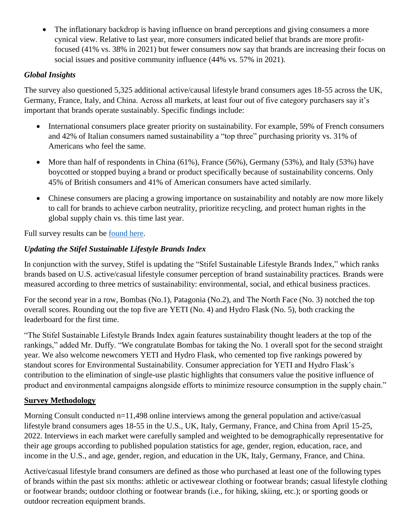• The inflationary backdrop is having influence on brand perceptions and giving consumers a more cynical view. Relative to last year, more consumers indicated belief that brands are more profitfocused (41% vs. 38% in 2021) but fewer consumers now say that brands are increasing their focus on social issues and positive community influence (44% vs. 57% in 2021).

## *Global Insights*

The survey also questioned 5,325 additional active/causal lifestyle brand consumers ages 18-55 across the UK, Germany, France, Italy, and China. Across all markets, at least four out of five category purchasers say it's important that brands operate sustainably. Specific findings include:

- International consumers place greater priority on sustainability. For example, 59% of French consumers and 42% of Italian consumers named sustainability a "top three" purchasing priority vs. 31% of Americans who feel the same.
- More than half of respondents in China (61%), France (56%), Germany (53%), and Italy (53%) have boycotted or stopped buying a brand or product specifically because of sustainability concerns. Only 45% of British consumers and 41% of American consumers have acted similarly.
- Chinese consumers are placing a growing importance on sustainability and notably are now more likely to call for brands to achieve carbon neutrality, prioritize recycling, and protect human rights in the global supply chain vs. this time last year.

Full survey results can be [found here.](https://www.stifel.com/Newsletters/InvestmentBanking/BAL/Marketing/StifelSays/2022/2022%20Stifel%20Sustainability%20Survey.pdf)

## *Updating the Stifel Sustainable Lifestyle Brands Index*

In conjunction with the survey, Stifel is updating the "Stifel Sustainable Lifestyle Brands Index," which ranks brands based on U.S. active/casual lifestyle consumer perception of brand sustainability practices. Brands were measured according to three metrics of sustainability: environmental, social, and ethical business practices.

For the second year in a row, Bombas (No.1), Patagonia (No.2), and The North Face (No. 3) notched the top overall scores. Rounding out the top five are YETI (No. 4) and Hydro Flask (No. 5), both cracking the leaderboard for the first time.

"The Stifel Sustainable Lifestyle Brands Index again features sustainability thought leaders at the top of the rankings," added Mr. Duffy. "We congratulate Bombas for taking the No. 1 overall spot for the second straight year. We also welcome newcomers YETI and Hydro Flask, who cemented top five rankings powered by standout scores for Environmental Sustainability. Consumer appreciation for YETI and Hydro Flask's contribution to the elimination of single-use plastic highlights that consumers value the positive influence of product and environmental campaigns alongside efforts to minimize resource consumption in the supply chain."

## **Survey Methodology**

Morning Consult conducted n=11,498 online interviews among the general population and active/casual lifestyle brand consumers ages 18-55 in the U.S., UK, Italy, Germany, France, and China from April 15-25, 2022. Interviews in each market were carefully sampled and weighted to be demographically representative for their age groups according to published population statistics for age, gender, region, education, race, and income in the U.S., and age, gender, region, and education in the UK, Italy, Germany, France, and China.

Active/casual lifestyle brand consumers are defined as those who purchased at least one of the following types of brands within the past six months: athletic or activewear clothing or footwear brands; casual lifestyle clothing or footwear brands; outdoor clothing or footwear brands (i.e., for hiking, skiing, etc.); or sporting goods or outdoor recreation equipment brands.